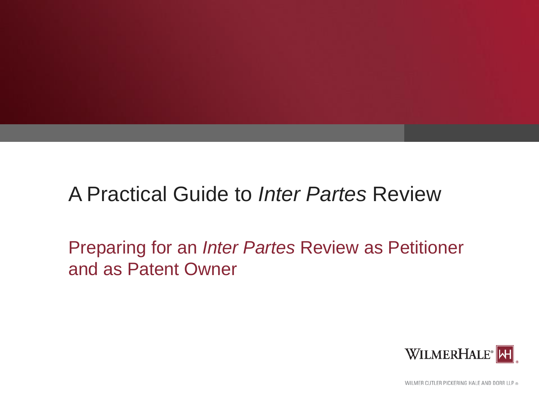# A Practical Guide to *Inter Partes* Review

Preparing for an *Inter Partes* Review as Petitioner and as Patent Owner



WILMER CUTLER PICKERING HALE AND DORR LLP ®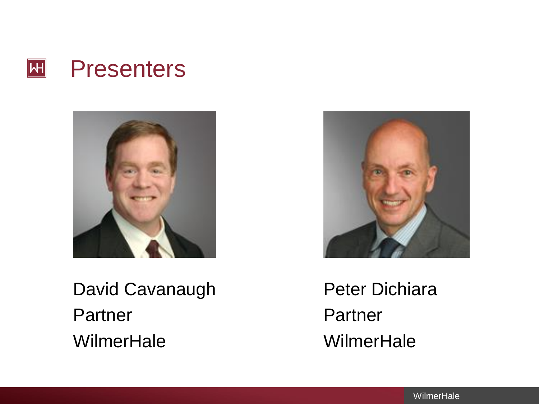



David Cavanaugh Peter Dichiara Partner Partner WilmerHale WilmerHale

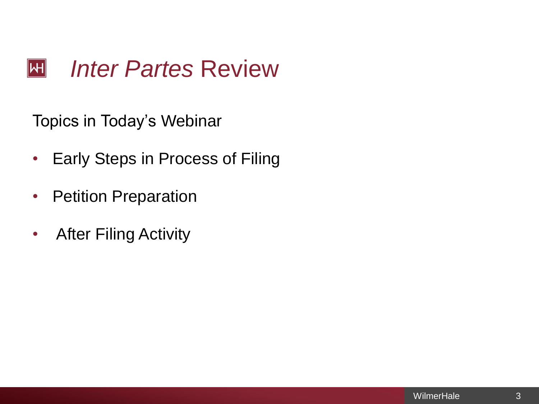#### *Inter Partes* Review  $\overline{|\mathsf{H}|}$

Topics in Today's Webinar

- Early Steps in Process of Filing
- Petition Preparation
- After Filing Activity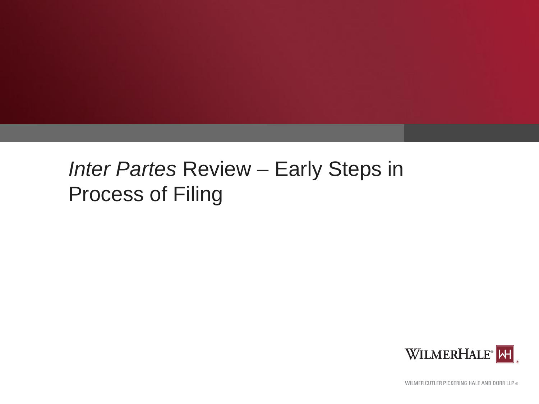# *Inter Partes* Review – Early Steps in Process of Filing



WILMER CUTLER PICKERING HALE AND DORR LLP ®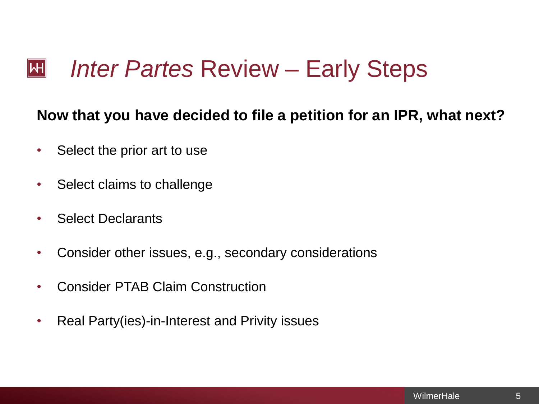### **Now that you have decided to file a petition for an IPR, what next?**

- Select the prior art to use
- Select claims to challenge
- Select Declarants
- Consider other issues, e.g., secondary considerations
- Consider PTAB Claim Construction
- Real Party(ies)-in-Interest and Privity issues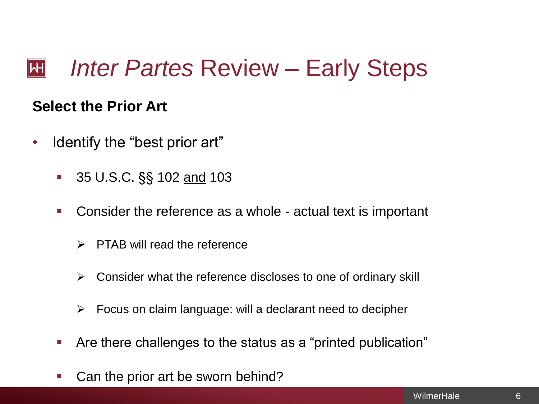### *Inter Partes* Review – Early Steps  $\mathsf{|\mathsf{H}|}$

# **Select the Prior Art**

- Identify the "best prior art"
	- 35 U.S.C. §§ 102 and 103
	- **Consider the reference as a whole actual text is important** 
		- $\triangleright$  PTAB will read the reference
		- $\triangleright$  Consider what the reference discloses to one of ordinary skill
		- $\triangleright$  Focus on claim language: will a declarant need to decipher
	- Are there challenges to the status as a "printed publication"
	- Can the prior art be sworn behind?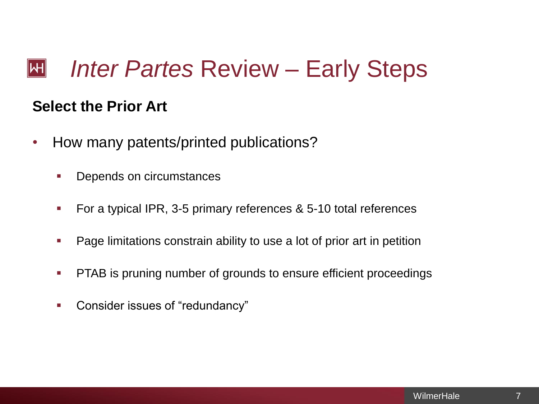#### *Inter Partes* Review – Early Steps  $\mathsf{|\mathsf{H}|}$

# **Select the Prior Art**

- How many patents/printed publications?
	- Depends on circumstances
	- **For a typical IPR, 3-5 primary references & 5-10 total references**
	- **Page limitations constrain ability to use a lot of prior art in petition**
	- **PTAB** is pruning number of grounds to ensure efficient proceedings
	- **Consider issues of "redundancy"**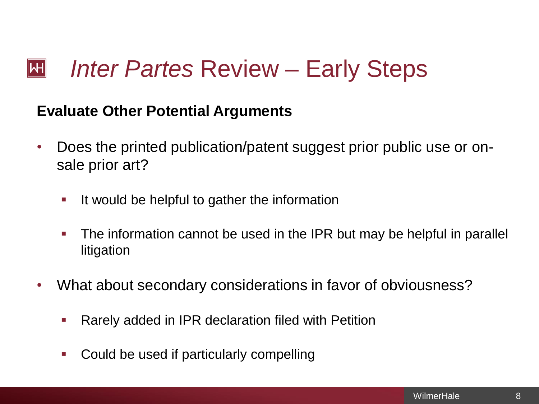### **Evaluate Other Potential Arguments**

- Does the printed publication/patent suggest prior public use or onsale prior art?
	- **If would be helpful to gather the information**
	- The information cannot be used in the IPR but may be helpful in parallel litigation
- What about secondary considerations in favor of obviousness?
	- **Rarely added in IPR declaration filed with Petition**
	- Could be used if particularly compelling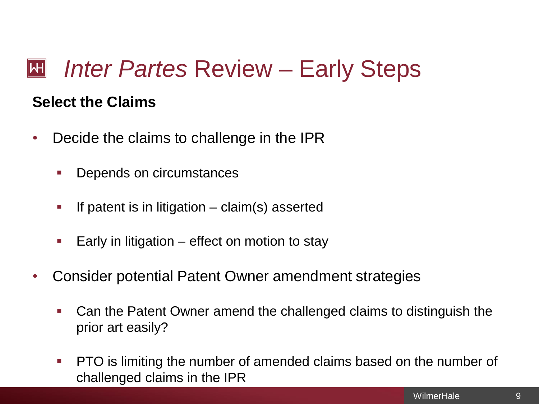### **Select the Claims**

- Decide the claims to challenge in the IPR
	- Depends on circumstances
	- If patent is in litigation claim(s) asserted
	- Early in litigation effect on motion to stay
- Consider potential Patent Owner amendment strategies
	- Can the Patent Owner amend the challenged claims to distinguish the prior art easily?
	- **PTO** is limiting the number of amended claims based on the number of challenged claims in the IPR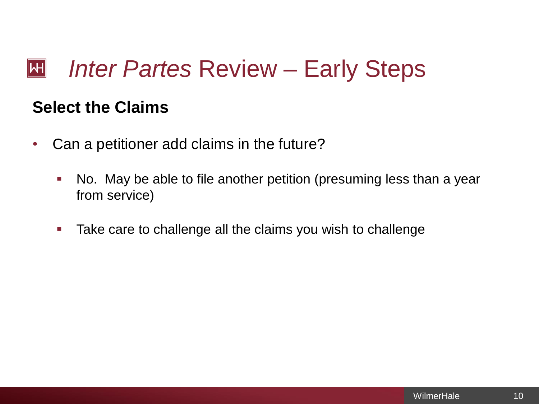# **Select the Claims**

- Can a petitioner add claims in the future?
	- No. May be able to file another petition (presuming less than a year from service)
	- **Take care to challenge all the claims you wish to challenge**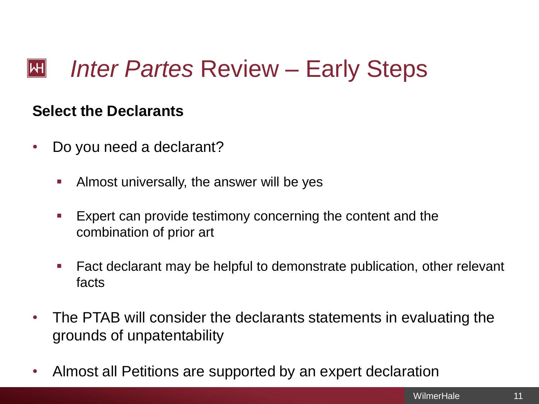### *Inter Partes* Review – Early Steps  $\mathsf{|\mathsf{H}|}$

### **Select the Declarants**

- Do you need a declarant?
	- **Almost universally, the answer will be yes**
	- Expert can provide testimony concerning the content and the combination of prior art
	- Fact declarant may be helpful to demonstrate publication, other relevant facts
- The PTAB will consider the declarants statements in evaluating the grounds of unpatentability
- Almost all Petitions are supported by an expert declaration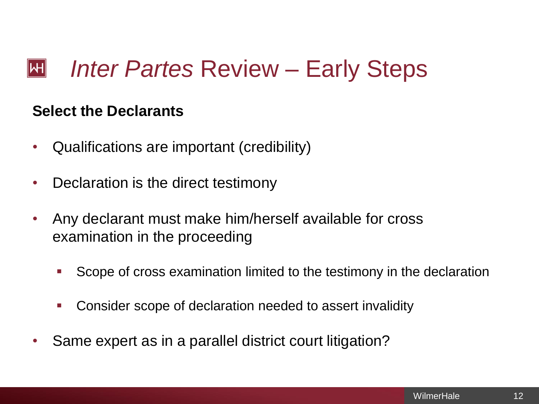#### *Inter Partes* Review – Early Steps  $\mathsf{|\mathsf{H}|}$

### **Select the Declarants**

- Qualifications are important (credibility)
- Declaration is the direct testimony
- Any declarant must make him/herself available for cross examination in the proceeding
	- Scope of cross examination limited to the testimony in the declaration
	- Consider scope of declaration needed to assert invalidity
- Same expert as in a parallel district court litigation?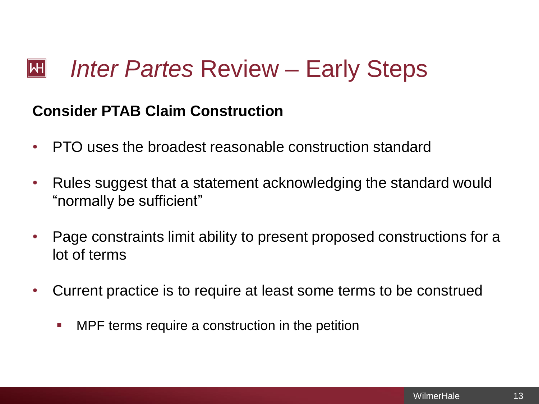### **Consider PTAB Claim Construction**

- PTO uses the broadest reasonable construction standard
- Rules suggest that a statement acknowledging the standard would "normally be sufficient"
- Page constraints limit ability to present proposed constructions for a lot of terms
- Current practice is to require at least some terms to be construed
	- **MPF terms require a construction in the petition**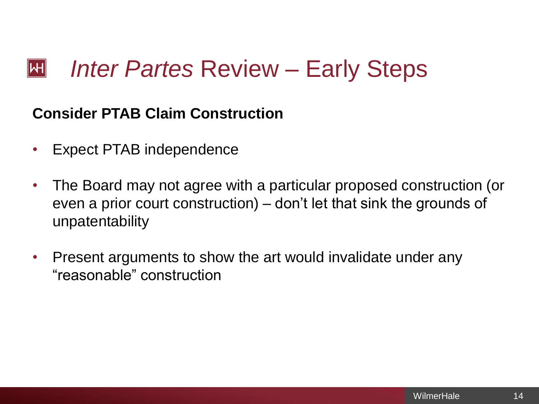### *Inter Partes* Review – Early Steps  $\mathsf{|\mathsf{H}|}$

# **Consider PTAB Claim Construction**

- Expect PTAB independence
- The Board may not agree with a particular proposed construction (or even a prior court construction) – don't let that sink the grounds of unpatentability
- Present arguments to show the art would invalidate under any "reasonable" construction

14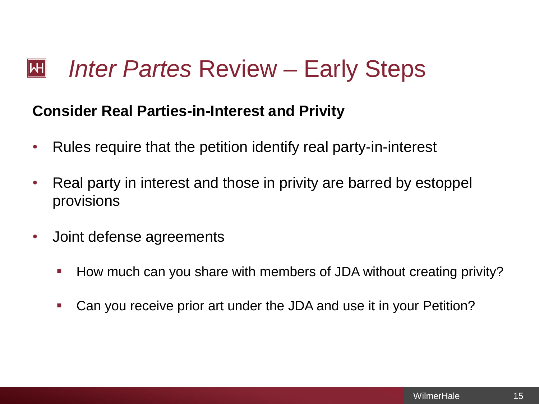### *Inter Partes* Review – Early Steps  $\mathsf{|\mathsf{H}|}$

### **Consider Real Parties-in-Interest and Privity**

- Rules require that the petition identify real party-in-interest
- Real party in interest and those in privity are barred by estoppel provisions
- Joint defense agreements
	- How much can you share with members of JDA without creating privity?
	- Can you receive prior art under the JDA and use it in your Petition?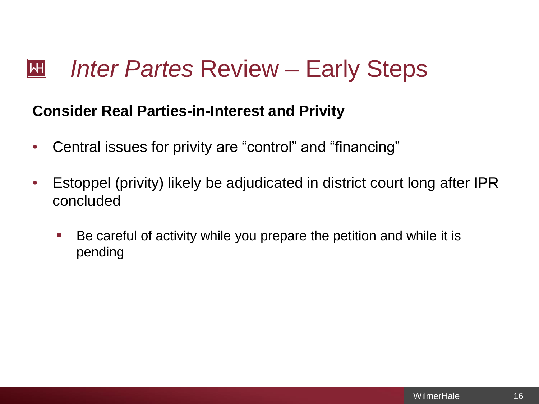### **Consider Real Parties-in-Interest and Privity**

- Central issues for privity are "control" and "financing"
- Estoppel (privity) likely be adjudicated in district court long after IPR concluded
	- Be careful of activity while you prepare the petition and while it is pending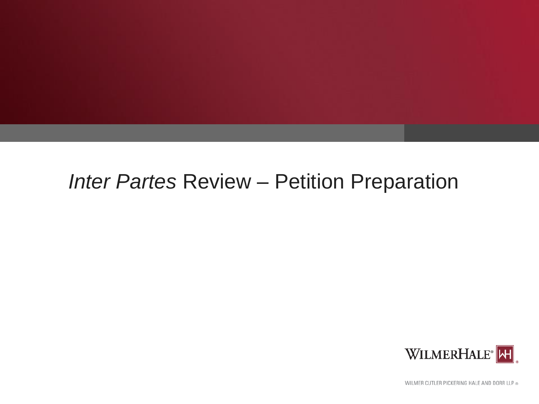# *Inter Partes* Review – Petition Preparation



WILMER CUTLER PICKERING HALE AND DORR LLP ®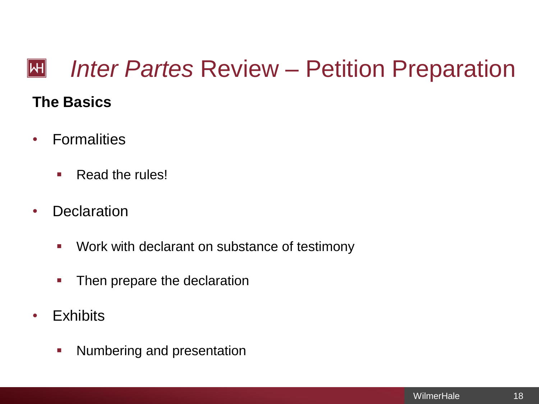### *Inter Partes* Review – Petition Preparation  $\mathbb H$ **The Basics**

- Formalities
	- **Read the rules!**
- Declaration
	- **Work with declarant on substance of testimony**
	- Then prepare the declaration
- Exhibits
	- **Numbering and presentation**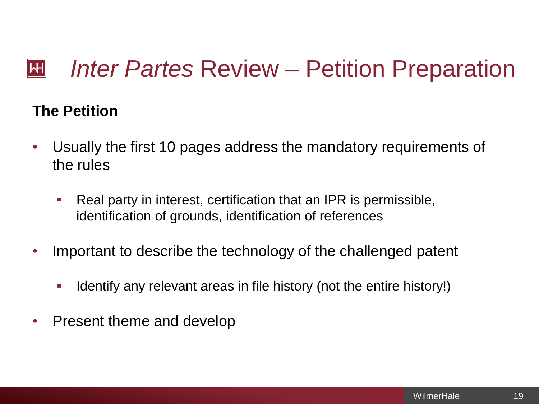#### *Inter Partes* Review – Petition Preparation  $\mathbb H$

# **The Petition**

- Usually the first 10 pages address the mandatory requirements of the rules
	- Real party in interest, certification that an IPR is permissible, identification of grounds, identification of references
- Important to describe the technology of the challenged patent
	- I Identify any relevant areas in file history (not the entire history!)
- Present theme and develop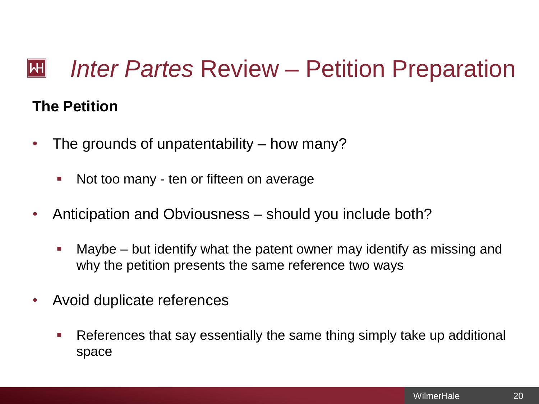### *Inter Partes* Review – Petition Preparation  $\mathsf{|\mathsf{H}|}$

### **The Petition**

- The grounds of unpatentability how many?
	- Not too many ten or fifteen on average
- Anticipation and Obviousness should you include both?
	- Maybe but identify what the patent owner may identify as missing and why the petition presents the same reference two ways
- Avoid duplicate references
	- References that say essentially the same thing simply take up additional space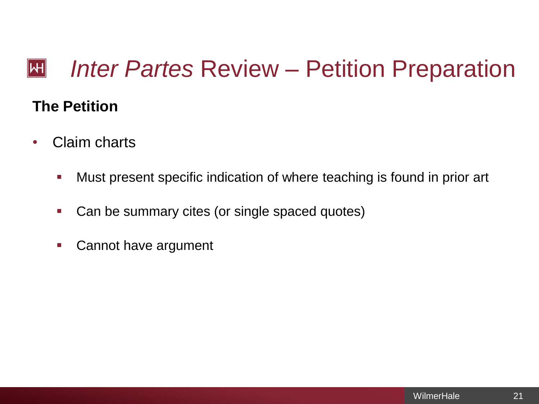### *Inter Partes* Review – Petition Preparation  $\mathbb H$

# **The Petition**

- Claim charts
	- Must present specific indication of where teaching is found in prior art
	- Can be summary cites (or single spaced quotes)
	- **Cannot have argument**

21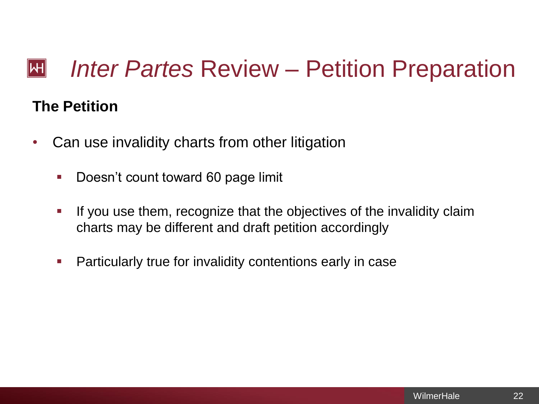### *Inter Partes* Review – Petition Preparation  $\mathsf{|\mathsf{H}|}$

## **The Petition**

- Can use invalidity charts from other litigation
	- **Doesn't count toward 60 page limit**
	- If you use them, recognize that the objectives of the invalidity claim charts may be different and draft petition accordingly
	- **Particularly true for invalidity contentions early in case**

22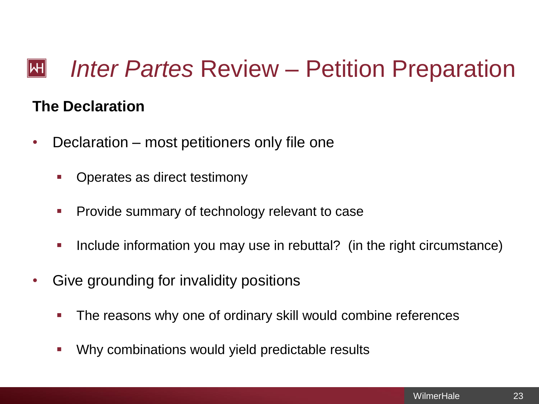#### *Inter Partes* Review – Petition Preparation  $\mathsf{|\mathsf{H}|}$

## **The Declaration**

- Declaration most petitioners only file one
	- **•** Operates as direct testimony
	- Provide summary of technology relevant to case
	- Include information you may use in rebuttal? (in the right circumstance)
- Give grounding for invalidity positions
	- The reasons why one of ordinary skill would combine references
	- Why combinations would yield predictable results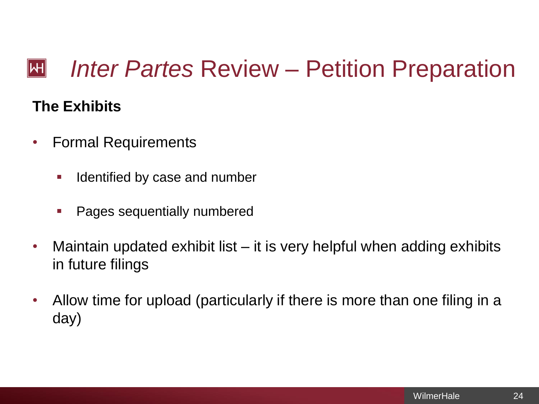### *Inter Partes* Review – Petition Preparation  $\mathbb H$

# **The Exhibits**

- Formal Requirements
	- **If all identified by case and number**
	- Pages sequentially numbered
- Maintain updated exhibit list it is very helpful when adding exhibits in future filings
- Allow time for upload (particularly if there is more than one filing in a day)

24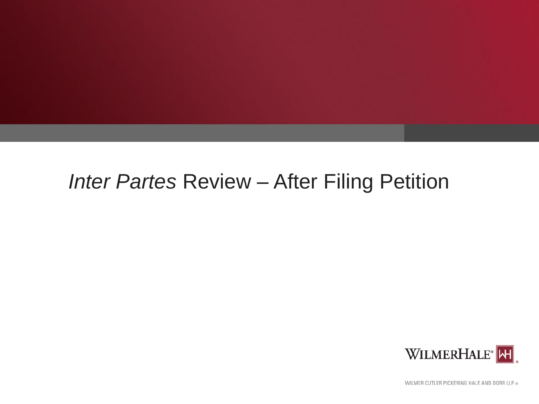# *Inter Partes* Review – After Filing Petition



WILMER CUTLER PICKERING HALE AND DORR LLP ®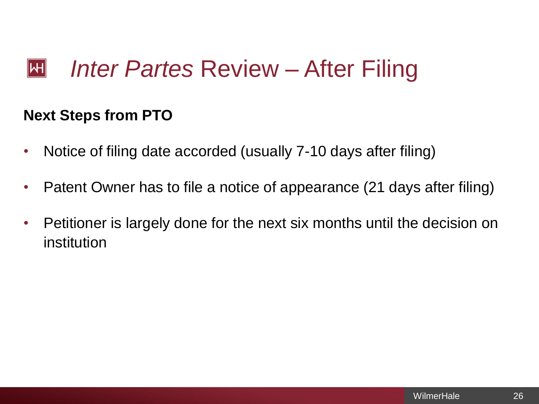### **Next Steps from PTO**

- Notice of filing date accorded (usually 7-10 days after filing)
- Patent Owner has to file a notice of appearance (21 days after filing)
- Petitioner is largely done for the next six months until the decision on institution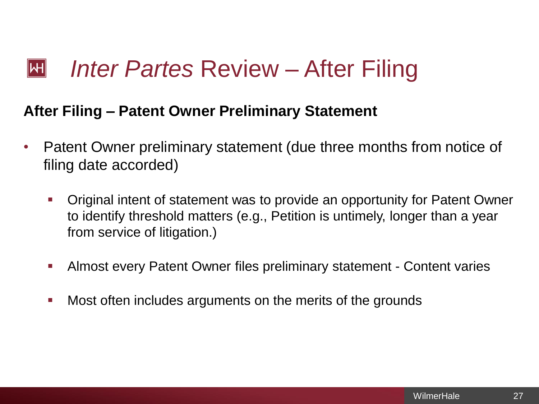### **After Filing – Patent Owner Preliminary Statement**

- Patent Owner preliminary statement (due three months from notice of filing date accorded)
	- Original intent of statement was to provide an opportunity for Patent Owner to identify threshold matters (e.g., Petition is untimely, longer than a year from service of litigation.)
	- Almost every Patent Owner files preliminary statement Content varies
	- **Most often includes arguments on the merits of the grounds**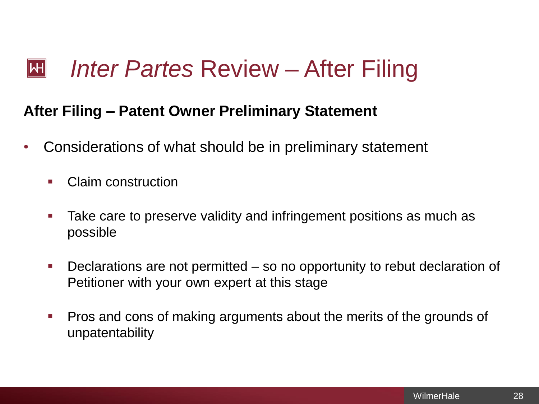### **After Filing – Patent Owner Preliminary Statement**

- Considerations of what should be in preliminary statement
	- Claim construction
	- Take care to preserve validity and infringement positions as much as possible
	- Declarations are not permitted so no opportunity to rebut declaration of Petitioner with your own expert at this stage
	- **Pros and cons of making arguments about the merits of the grounds of** unpatentability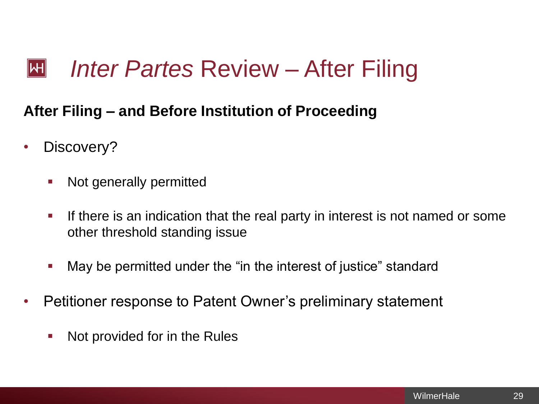# **After Filing – and Before Institution of Proceeding**

- Discovery?
	- Not generally permitted
	- If there is an indication that the real party in interest is not named or some other threshold standing issue
	- May be permitted under the "in the interest of justice" standard
- Petitioner response to Patent Owner's preliminary statement
	- **Not provided for in the Rules**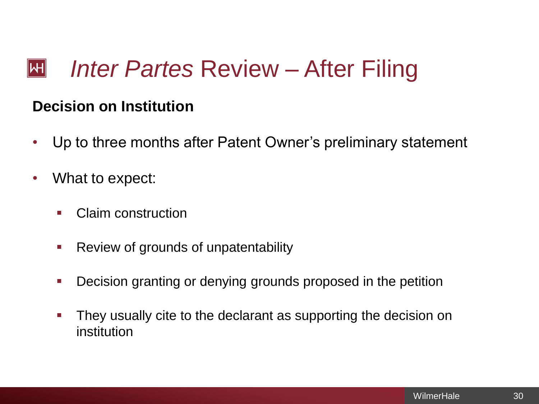## **Decision on Institution**

- Up to three months after Patent Owner's preliminary statement
- What to expect:
	- Claim construction
	- Review of grounds of unpatentability
	- **Decision granting or denying grounds proposed in the petition**
	- They usually cite to the declarant as supporting the decision on institution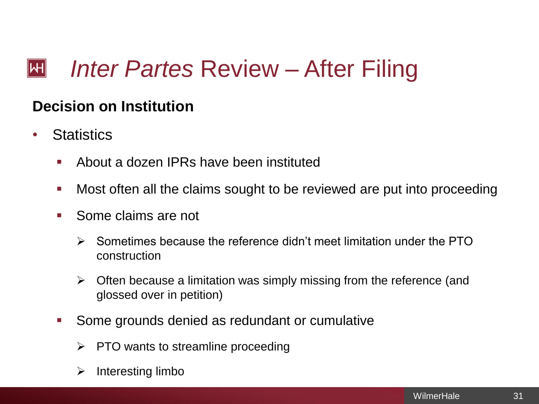# **Decision on Institution**

- Statistics
	- About a dozen IPRs have been instituted
	- Most often all the claims sought to be reviewed are put into proceeding
	- Some claims are not
		- $\triangleright$  Sometimes because the reference didn't meet limitation under the PTO construction
		- $\triangleright$  Often because a limitation was simply missing from the reference (and glossed over in petition)
	- Some grounds denied as redundant or cumulative
		- $\triangleright$  PTO wants to streamline proceeding
		- $\triangleright$  Interesting limbo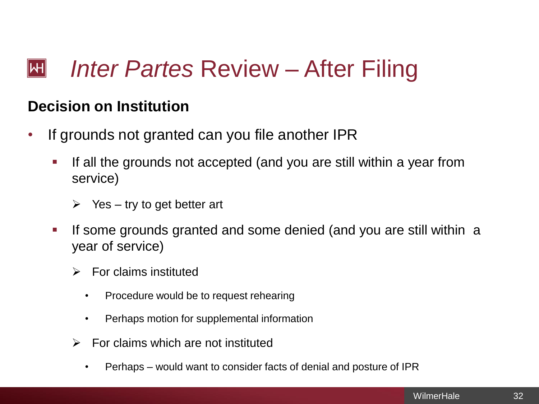### *Inter Partes* Review – After Filing  $\mathsf{|\mathsf{H}|}$

### **Decision on Institution**

- If grounds not granted can you file another IPR
	- $\blacksquare$  If all the grounds not accepted (and you are still within a year from service)
		- $\triangleright$  Yes try to get better art
	- If some grounds granted and some denied (and you are still within a year of service)
		- $\triangleright$  For claims instituted
			- Procedure would be to request rehearing
			- Perhaps motion for supplemental information
		- $\triangleright$  For claims which are not instituted
			- Perhaps would want to consider facts of denial and posture of IPR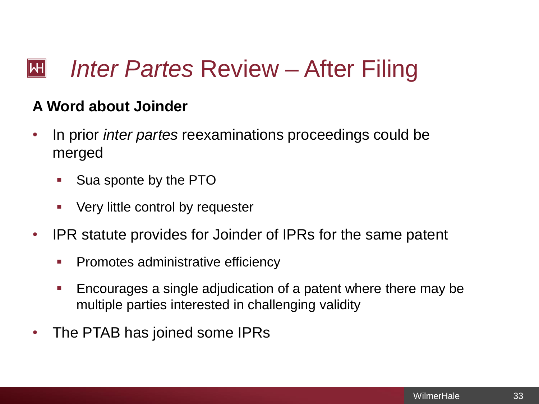### *Inter Partes* Review – After Filing  $\mathsf{|\mathsf{H}|}$

# **A Word about Joinder**

- In prior *inter partes* reexaminations proceedings could be merged
	- Sua sponte by the PTO
	- Very little control by requester
- IPR statute provides for Joinder of IPRs for the same patent
	- Promotes administrative efficiency
	- Encourages a single adjudication of a patent where there may be multiple parties interested in challenging validity
- The PTAB has joined some IPRs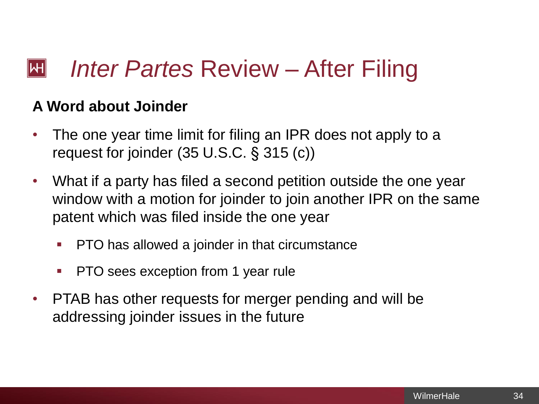#### *Inter Partes* Review – After Filing  $\mathsf{|\mathsf{H}|}$

### **A Word about Joinder**

- The one year time limit for filing an IPR does not apply to a request for joinder (35 U.S.C. § 315 (c))
- What if a party has filed a second petition outside the one year window with a motion for joinder to join another IPR on the same patent which was filed inside the one year
	- PTO has allowed a joinder in that circumstance
	- PTO sees exception from 1 year rule
- PTAB has other requests for merger pending and will be addressing joinder issues in the future

34